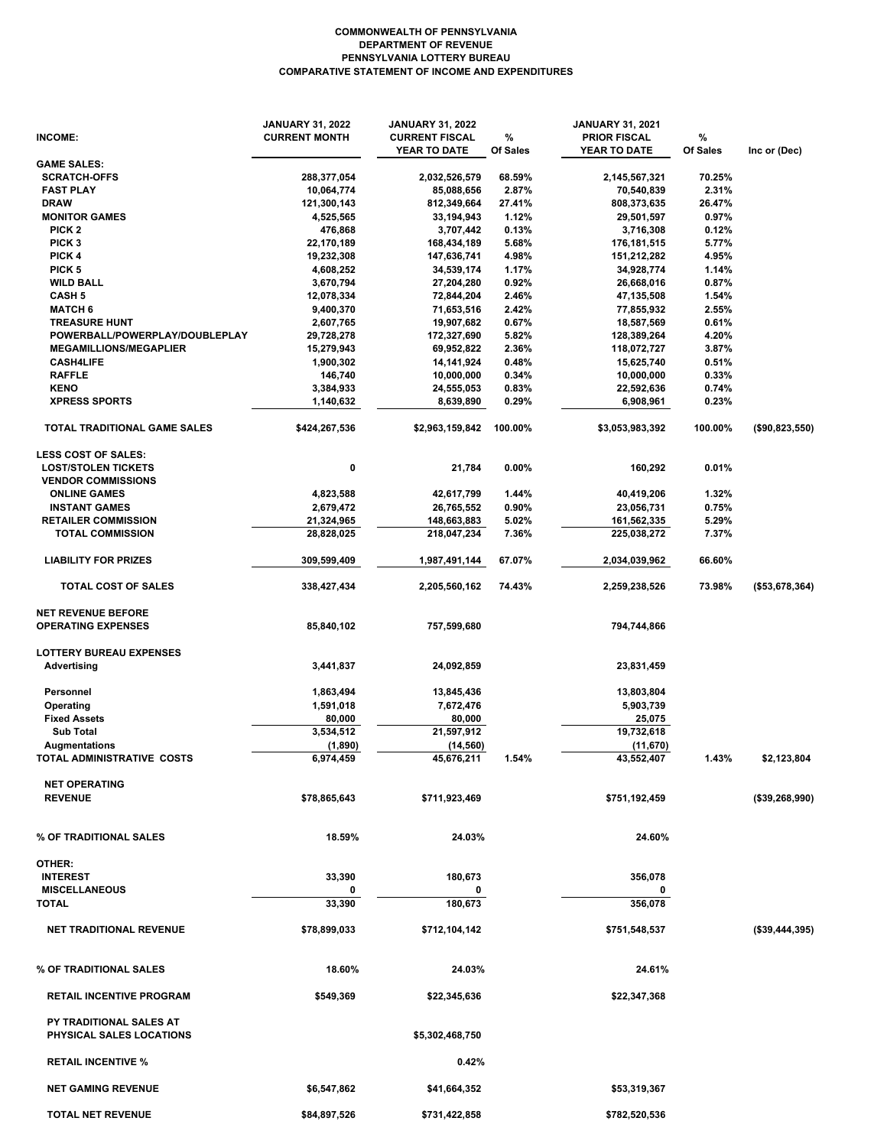## **COMPARATIVE STATEMENT OF INCOME AND EXPENDITURES PENNSYLVANIA LOTTERY BUREAU DEPARTMENT OF REVENUE COMMONWEALTH OF PENNSYLVANIA**

| INCOME:                                                           | <b>JANUARY 31, 2022</b><br><b>CURRENT MONTH</b> | <b>JANUARY 31, 2022</b><br><b>CURRENT FISCAL</b><br>YEAR TO DATE | %<br>Of Sales | <b>JANUARY 31, 2021</b><br><b>PRIOR FISCAL</b><br>YEAR TO DATE | %<br>Of Sales | Inc or (Dec)      |
|-------------------------------------------------------------------|-------------------------------------------------|------------------------------------------------------------------|---------------|----------------------------------------------------------------|---------------|-------------------|
| <b>GAME SALES:</b>                                                |                                                 |                                                                  |               |                                                                |               |                   |
| <b>SCRATCH-OFFS</b>                                               | 288,377,054                                     | 2,032,526,579                                                    | 68.59%        | 2,145,567,321                                                  | 70.25%        |                   |
| <b>FAST PLAY</b>                                                  | 10,064,774                                      | 85,088,656                                                       | 2.87%         | 70,540,839                                                     | 2.31%         |                   |
| <b>DRAW</b>                                                       | 121,300,143                                     | 812,349,664                                                      | 27.41%        | 808,373,635                                                    | 26.47%        |                   |
| <b>MONITOR GAMES</b>                                              | 4,525,565                                       | 33,194,943                                                       | 1.12%         | 29,501,597                                                     | 0.97%         |                   |
| PICK <sub>2</sub>                                                 | 476,868                                         | 3,707,442                                                        | 0.13%         | 3,716,308                                                      | 0.12%         |                   |
| PICK <sub>3</sub>                                                 | 22,170,189                                      | 168,434,189                                                      | 5.68%         | 176,181,515                                                    | 5.77%         |                   |
| PICK 4                                                            | 19,232,308                                      | 147,636,741                                                      | 4.98%         | 151,212,282                                                    | 4.95%         |                   |
| PICK <sub>5</sub>                                                 | 4,608,252                                       | 34,539,174                                                       | 1.17%         | 34,928,774                                                     | 1.14%         |                   |
| <b>WILD BALL</b>                                                  | 3,670,794                                       | 27,204,280                                                       | 0.92%         | 26,668,016                                                     | 0.87%         |                   |
| <b>CASH 5</b>                                                     | 12,078,334                                      | 72,844,204                                                       | 2.46%         | 47,135,508                                                     | 1.54%         |                   |
| <b>MATCH 6</b>                                                    | 9,400,370                                       | 71,653,516                                                       | 2.42%         | 77,855,932                                                     | 2.55%         |                   |
| <b>TREASURE HUNT</b>                                              | 2,607,765                                       | 19,907,682                                                       | 0.67%         | 18,587,569                                                     | 0.61%         |                   |
| POWERBALL/POWERPLAY/DOUBLEPLAY                                    | 29,728,278                                      | 172,327,690                                                      | 5.82%         | 128,389,264                                                    | 4.20%         |                   |
| <b>MEGAMILLIONS/MEGAPLIER</b>                                     | 15,279,943                                      | 69,952,822                                                       | 2.36%         | 118,072,727                                                    | 3.87%         |                   |
| <b>CASH4LIFE</b>                                                  | 1,900,302                                       | 14,141,924                                                       | 0.48%         | 15,625,740                                                     | 0.51%         |                   |
| <b>RAFFLE</b>                                                     | 146,740                                         | 10,000,000                                                       | 0.34%         | 10,000,000                                                     | 0.33%         |                   |
| <b>KENO</b>                                                       | 3,384,933                                       | 24,555,053                                                       | 0.83%         | 22,592,636                                                     | 0.74%         |                   |
| <b>XPRESS SPORTS</b>                                              | 1,140,632                                       | 8,639,890                                                        | 0.29%         | 6,908,961                                                      | 0.23%         |                   |
| TOTAL TRADITIONAL GAME SALES                                      | \$424,267,536                                   | \$2,963,159,842                                                  | 100.00%       | \$3,053,983,392                                                | 100.00%       | (\$90,823,550)    |
| <b>LESS COST OF SALES:</b>                                        |                                                 |                                                                  |               |                                                                |               |                   |
| <b>LOST/STOLEN TICKETS</b>                                        | 0                                               | 21,784                                                           | 0.00%         | 160,292                                                        | 0.01%         |                   |
| <b>VENDOR COMMISSIONS</b>                                         |                                                 |                                                                  |               |                                                                |               |                   |
| <b>ONLINE GAMES</b>                                               | 4,823,588                                       | 42,617,799                                                       | 1.44%         | 40,419,206                                                     | 1.32%         |                   |
| <b>INSTANT GAMES</b>                                              | 2,679,472                                       | 26,765,552                                                       | 0.90%         | 23,056,731                                                     | 0.75%         |                   |
| <b>RETAILER COMMISSION</b>                                        | 21,324,965                                      | 148,663,883                                                      | 5.02%         | 161,562,335                                                    | 5.29%         |                   |
| <b>TOTAL COMMISSION</b>                                           | 28,828,025                                      | 218,047,234                                                      | 7.36%         | 225,038,272                                                    | 7.37%         |                   |
| <b>LIABILITY FOR PRIZES</b>                                       | 309,599,409                                     | 1,987,491,144                                                    | 67.07%        | 2,034,039,962                                                  | 66.60%        |                   |
| TOTAL COST OF SALES                                               | 338,427,434                                     | 2,205,560,162                                                    | 74.43%        | 2,259,238,526                                                  | 73.98%        | (\$53,678,364)    |
| <b>NET REVENUE BEFORE</b>                                         |                                                 |                                                                  |               |                                                                |               |                   |
| <b>OPERATING EXPENSES</b>                                         | 85,840,102                                      | 757,599,680                                                      |               | 794,744,866                                                    |               |                   |
| <b>LOTTERY BUREAU EXPENSES</b>                                    |                                                 |                                                                  |               |                                                                |               |                   |
| <b>Advertising</b>                                                | 3,441,837                                       | 24,092,859                                                       |               | 23,831,459                                                     |               |                   |
| Personnel                                                         | 1,863,494                                       | 13,845,436                                                       |               | 13,803,804                                                     |               |                   |
| Operating                                                         | 1,591,018                                       | 7,672,476                                                        |               | 5,903,739                                                      |               |                   |
| <b>Fixed Assets</b>                                               | 80,000                                          | 80,000                                                           |               | 25,075                                                         |               |                   |
| <b>Sub Total</b>                                                  | 3,534,512                                       | 21,597,912                                                       |               | 19,732,618                                                     |               |                   |
| <b>Augmentations</b>                                              | (1,890)                                         | (14, 560)                                                        |               | (11,670)                                                       |               |                   |
| TOTAL ADMINISTRATIVE COSTS                                        | 6,974,459                                       | 45,676,211                                                       | 1.54%         | 43,552,407                                                     | 1.43%         | \$2,123,804       |
| <b>NET OPERATING</b>                                              |                                                 |                                                                  |               |                                                                |               |                   |
| <b>REVENUE</b>                                                    | \$78,865,643                                    | \$711,923,469                                                    |               | \$751,192,459                                                  |               | (\$39,268,990)    |
| % OF TRADITIONAL SALES                                            | 18.59%                                          | 24.03%                                                           |               | 24.60%                                                         |               |                   |
|                                                                   |                                                 |                                                                  |               |                                                                |               |                   |
| OTHER:                                                            |                                                 |                                                                  |               |                                                                |               |                   |
| <b>INTEREST</b>                                                   | 33,390                                          | 180,673                                                          |               | 356,078                                                        |               |                   |
| <b>MISCELLANEOUS</b>                                              | 0                                               | 0                                                                |               | 0                                                              |               |                   |
| <b>TOTAL</b>                                                      | 33,390                                          | 180,673                                                          |               | 356,078                                                        |               |                   |
| <b>NET TRADITIONAL REVENUE</b>                                    | \$78,899,033                                    | \$712,104,142                                                    |               | \$751,548,537                                                  |               | $($ \$39,444,395) |
| % OF TRADITIONAL SALES                                            | 18.60%                                          | 24.03%                                                           |               | 24.61%                                                         |               |                   |
| <b>RETAIL INCENTIVE PROGRAM</b>                                   | \$549,369                                       | \$22,345,636                                                     |               | \$22,347,368                                                   |               |                   |
| <b>PY TRADITIONAL SALES AT</b><br><b>PHYSICAL SALES LOCATIONS</b> |                                                 | \$5,302,468,750                                                  |               |                                                                |               |                   |
| <b>RETAIL INCENTIVE %</b>                                         |                                                 | 0.42%                                                            |               |                                                                |               |                   |
| <b>NET GAMING REVENUE</b>                                         | \$6,547,862                                     | \$41,664,352                                                     |               | \$53,319,367                                                   |               |                   |
| <b>TOTAL NET REVENUE</b>                                          | \$84,897,526                                    | \$731,422,858                                                    |               | \$782,520,536                                                  |               |                   |